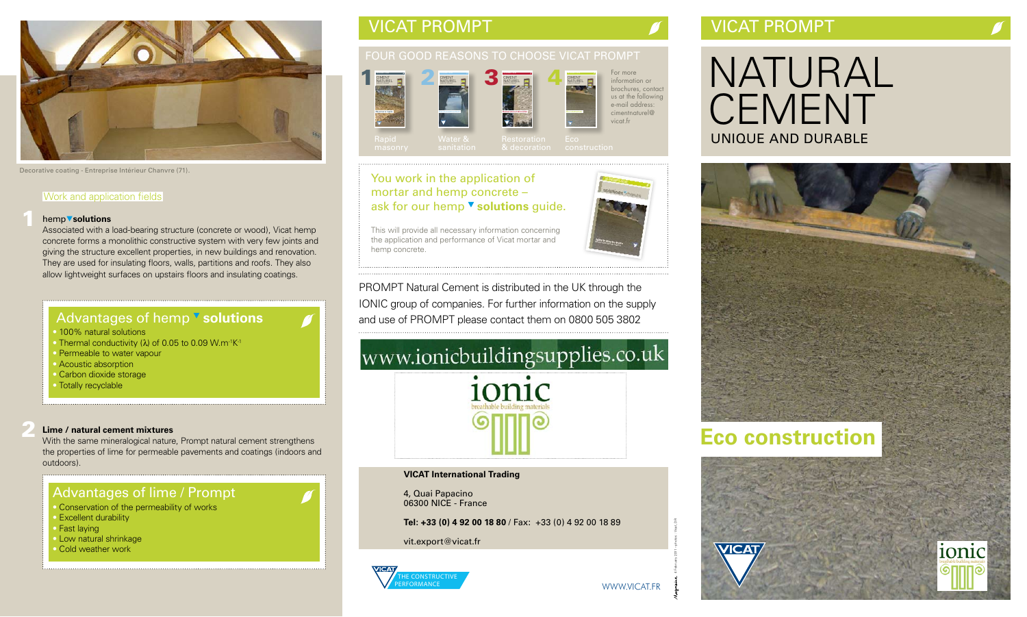# VICAT PROMPT VICAT PROMPT

# NATURAL **CEMENT** UNIQUE AND DURABLE

### Work and application fields

### hemp **solutions**

Associated with a load-bearing structure (concrete or wood), Vicat hemp concrete forms a monolithic constructive system with very few joints and giving the structure excellent properties, in new buildings and renovation. They are used for insulating floors, walls, partitions and roofs. They also allow lightweight surfaces on upstairs floors and insulating coatings.

# Advantages of hemp **v** solutions

- 100% natural solutions
- Thermal conductivity  $(\lambda)$  of 0.05 to 0.09 W.m<sup>-1</sup>K<sup>-1</sup>
- Permeable to water vapour
- Acoustic absorption
- Carbon dioxide storage
- Totally recyclable

### **Lime / natural cement mixtures**

With the same mineralogical nature, Prompt natural cement strengthens the properties of lime for permeable pavements and coatings (indoors and outdoors).

## Advantages of lime / Prompt

- Conservation of the permeability of works
- Excellent durability
- Fast laying
- Low natural shrinkage
- Cold weather work

# **Eco construction**





## FOUR GOOD REASONS TO CHOOSE VICAT PROMPT

Water &

## You work in the application of mortar and hemp concrete – ask for our hemp  $\blacktriangledown$  solutions guide.

Rapid

1

2









For more information or brochures, contact us at the following e-mail address: cimentnaturel@ vicat.fr





Decorative coating - Entreprise Intérieur Chanvre (71).

This will provide all necessary information concerning the application and performance of Vicat mortar and hemp concrete.

PROMPT Natural Cement is distributed in the UK through the IONIC group of companies. For further information on the supply and use of PROMPT please contact them on 0800 505 3802

# www.ionicbuildingsupplies.co.uk



### **VICAT International Trading**

4, Quai Papacino 06300 NICE - France

**Tel: +33 (0) 4 92 00 18 80** / Fax: +33 (0) 4 92 00 18 89

vit.export@vicat.fr